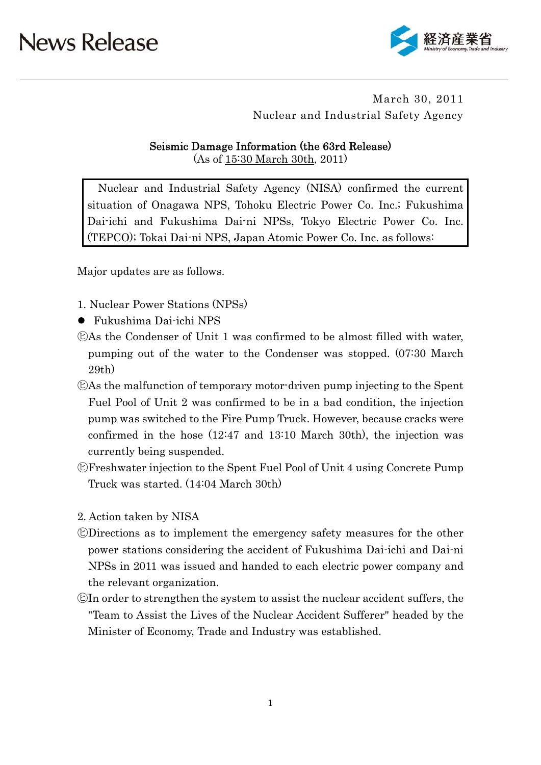

### March 30, 2011 Nuclear and Industrial Safety Agency

### Seismic Damage Information (the 63rd Release)

(As of 15:30 March 30th, 2011)

Nuclear and Industrial Safety Agency (NISA) confirmed the current situation of Onagawa NPS, Tohoku Electric Power Co. Inc.; Fukushima Dai-ichi and Fukushima Dai-ni NPSs, Tokyo Electric Power Co. Inc. (TEPCO); Tokai Dai-ni NPS, Japan Atomic Power Co. Inc. as follows:

Major updates are as follows.

- 1. Nuclear Power Stations (NPSs)
- Fukushima Dai-ichi NPS
- ㋪As the Condenser of Unit 1 was confirmed to be almost filled with water, pumping out of the water to the Condenser was stopped. (07:30 March 29th)
- ㋪As the malfunction of temporary motor-driven pump injecting to the Spent Fuel Pool of Unit 2 was confirmed to be in a bad condition, the injection pump was switched to the Fire Pump Truck. However, because cracks were confirmed in the hose (12:47 and 13:10 March 30th), the injection was currently being suspended.
- ㋪Freshwater injection to the Spent Fuel Pool of Unit 4 using Concrete Pump Truck was started. (14:04 March 30th)
- 2. Action taken by NISA
- ㋪Directions as to implement the emergency safety measures for the other power stations considering the accident of Fukushima Dai-ichi and Dai-ni NPSs in 2011 was issued and handed to each electric power company and the relevant organization.
- ㋪In order to strengthen the system to assist the nuclear accident suffers, the "Team to Assist the Lives of the Nuclear Accident Sufferer" headed by the Minister of Economy, Trade and Industry was established.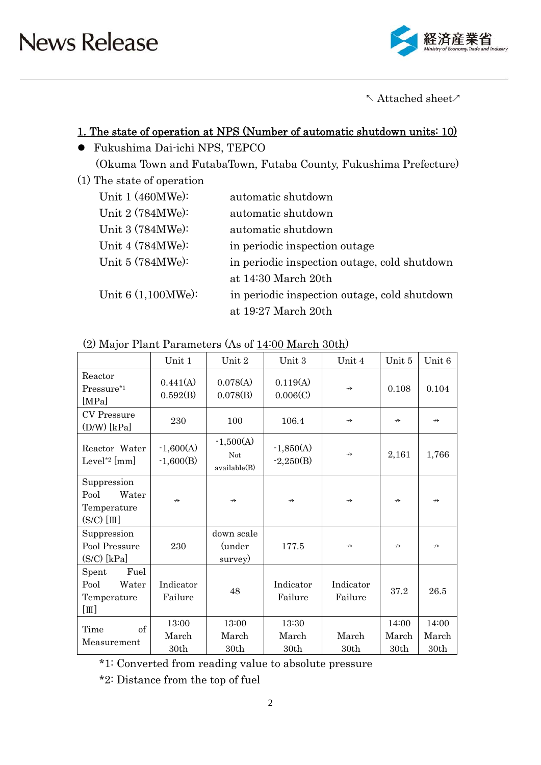

 $\wedge$  Attached sheet $\wedge$ 

### 1. The state of operation at NPS (Number of automatic shutdown units: 10)

- Fukushima Dai-ichi NPS, TEPCO (Okuma Town and FutabaTown, Futaba County, Fukushima Prefecture)
- (1) The state of operation

| Unit $1(460MWe):$    | automatic shutdown                           |
|----------------------|----------------------------------------------|
| Unit 2 (784MWe):     | automatic shutdown                           |
| Unit 3 (784MWe):     | automatic shutdown                           |
| Unit 4 (784MWe):     | in periodic inspection outage                |
| Unit 5 (784MWe):     | in periodic inspection outage, cold shutdown |
|                      | at 14:30 March 20th                          |
| Unit $6(1,100MWe)$ : | in periodic inspection outage, cold shutdown |
|                      | at 19:27 March 20th                          |

| (2) Major Plant Parameters (As of 14:00 March 30th) |  |
|-----------------------------------------------------|--|
|-----------------------------------------------------|--|

|                                                                 | Unit 1                     | Unit 2                                    | Unit 3                     | Unit 4               | Unit 5                 | Unit 6                 |
|-----------------------------------------------------------------|----------------------------|-------------------------------------------|----------------------------|----------------------|------------------------|------------------------|
| Reactor<br>Pressure*1<br>[MPa]                                  | 0.441(A)<br>0.592(B)       | 0.078(A)<br>0.078(B)                      | 0.119(A)<br>0.006(C)       | $\leftrightarrow$    | 0.108                  | 0.104                  |
| <b>CV</b> Pressure<br>$(D/W)$ [kPa]                             | 230                        | 100                                       | 106.4                      | $\leftrightarrow$    | $\leftrightarrow$      | $\leftrightarrow$      |
| Reactor Water<br>Level <sup>*2</sup> [mm]                       | $-1,600(A)$<br>$-1,600(B)$ | $-1,500(A)$<br><b>Not</b><br>available(B) | $-1,850(A)$<br>$-2,250(B)$ | $\leftrightarrow$    | 2,161                  | 1,766                  |
| Suppression<br>Pool<br>Water<br>Temperature<br>$(S/C)$ [III]    | $\leftrightarrow$          | $\leftrightarrow$                         | $\leftrightarrow$          | $\leftrightarrow$    | $\nrightarrow$         | $\leftrightarrow$      |
| Suppression<br>Pool Pressure<br>$(S/C)$ [kPa]                   | 230                        | down scale<br>(under<br>survey)           | 177.5                      | $\leftrightarrow$    | $\leftrightarrow$      | $\leftrightarrow$      |
| Fuel<br>Spent<br>Pool<br>Water<br>Temperature<br>$[\mathbb{I}]$ | Indicator<br>Failure       | 48                                        | Indicator<br>Failure       | Indicator<br>Failure | 37.2                   | 26.5                   |
| of<br>Time<br>Measurement                                       | 13:00<br>March<br>30th     | 13:00<br>March<br>30th                    | 13:30<br>March<br>30th     | March<br>30th        | 14:00<br>March<br>30th | 14:00<br>March<br>30th |

\*1: Converted from reading value to absolute pressure

\*2: Distance from the top of fuel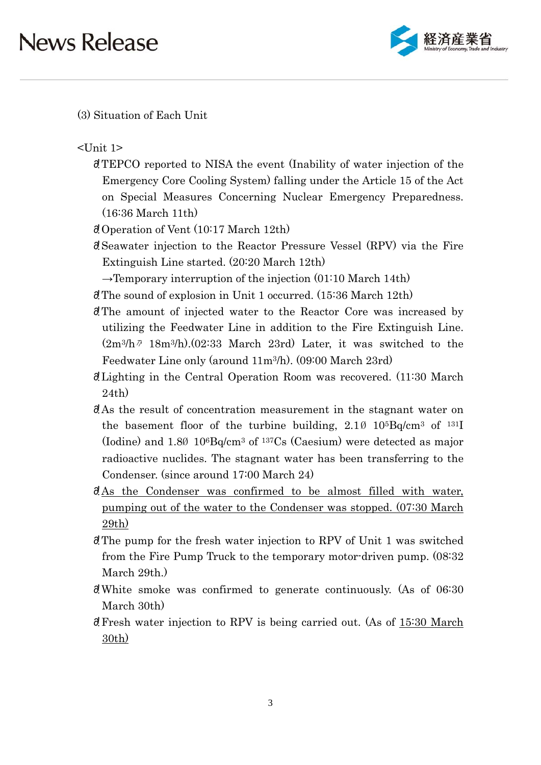

(3) Situation of Each Unit

<Unit 1>

- 䞉!TEPCO reported to NISA the event (Inability of water injection of the Emergency Core Cooling System) falling under the Article 15 of the Act on Special Measures Concerning Nuclear Emergency Preparedness. (16:36 March 11th)
- $\partial$  Operation of Vent (10:17 March 12th)
- 䞉!Seawater injection to the Reactor Pressure Vessel (RPV) via the Fire Extinguish Line started. (20:20 March 12th)
	- $\rightarrow$ Temporary interruption of the injection (01:10 March 14th)
- $\partial$ . The sound of explosion in Unit 1 occurred. (15:36 March 12th)
- 䞉!The amount of injected water to the Reactor Core was increased by utilizing the Feedwater Line in addition to the Fire Extinguish Line.  $(2m^3/h$ <sup>7</sup> 18m<sup>3</sup>/h). $(02:33 \text{ March } 23rd)$  Later, it was switched to the Feedwater Line only (around 11m3/h). (09:00 March 23rd)
- 䞉!Lighting in the Central Operation Room was recovered. (11:30 March 24th)
- 䞉!As the result of concentration measurement in the stagnant water on the basement floor of the turbine building,  $2.1\%$  10<sup>5</sup>Bq/cm<sup>3</sup> of <sup>131</sup>I (Iodine) and 1.8Ø 106Bq/cm3 of 137Cs (Caesium) were detected as major radioactive nuclides. The stagnant water has been transferring to the Condenser. (since around 17:00 March 24)
- $\partial A$ s the Condenser was confirmed to be almost filled with water, pumping out of the water to the Condenser was stopped. (07:30 March 29th)
- $\partial$ . The pump for the fresh water injection to RPV of Unit 1 was switched from the Fire Pump Truck to the temporary motor-driven pump. (08:32 March 29th.)
- $\delta$ . White smoke was confirmed to generate continuously. (As of 06:30) March 30th)
- 䞉!Fresh water injection to RPV is being carried out. (As of 15:30 March 30th)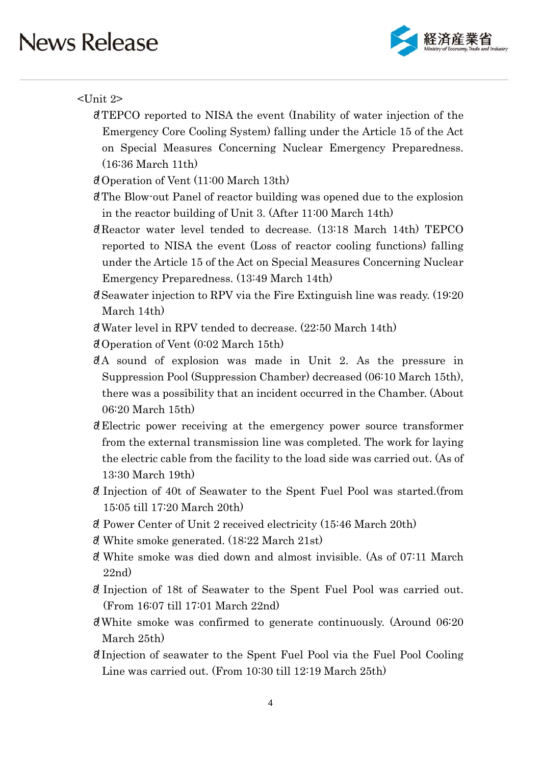

### <Unit 2>

- 䞉!TEPCO reported to NISA the event (Inability of water injection of the Emergency Core Cooling System) falling under the Article 15 of the Act on Special Measures Concerning Nuclear Emergency Preparedness. (16:36 March 11th)
- 䞉!Operation of Vent (11:00 March 13th)
- 䞉!The Blow-out Panel of reactor building was opened due to the explosion in the reactor building of Unit 3. (After 11:00 March 14th)
- 䞉!Reactor water level tended to decrease. (13:18 March 14th) TEPCO reported to NISA the event (Loss of reactor cooling functions) falling under the Article 15 of the Act on Special Measures Concerning Nuclear Emergency Preparedness. (13:49 March 14th)
- $\alpha$  Seawater injection to RPV via the Fire Extinguish line was ready. (19:20) March 14th)
- 䞉!Water level in RPV tended to decrease. (22:50 March 14th)
- 䞉!Operation of Vent (0:02 March 15th)
- $\partial A$  sound of explosion was made in Unit 2. As the pressure in Suppression Pool (Suppression Chamber) decreased (06:10 March 15th), there was a possibility that an incident occurred in the Chamber. (About 06:20 March 15th)
- 䞉!Electric power receiving at the emergency power source transformer from the external transmission line was completed. The work for laying the electric cable from the facility to the load side was carried out. (As of 13:30 March 19th)
- 䞉! Injection of 40t of Seawater to the Spent Fuel Pool was started.(from 15:05 till 17:20 March 20th)
- 䞉! Power Center of Unit 2 received electricity (15:46 March 20th)
- $\delta$ . White smoke generated. (18:22 March 21st)
- $\partial$ . White smoke was died down and almost invisible. (As of 07:11 March 22nd)
- 䞉! Injection of 18t of Seawater to the Spent Fuel Pool was carried out. (From 16:07 till 17:01 March 22nd)
- $\partial$ . White smoke was confirmed to generate continuously. (Around 06:20) March 25th)
- 䞉!Injection of seawater to the Spent Fuel Pool via the Fuel Pool Cooling Line was carried out. (From 10:30 till 12:19 March 25th)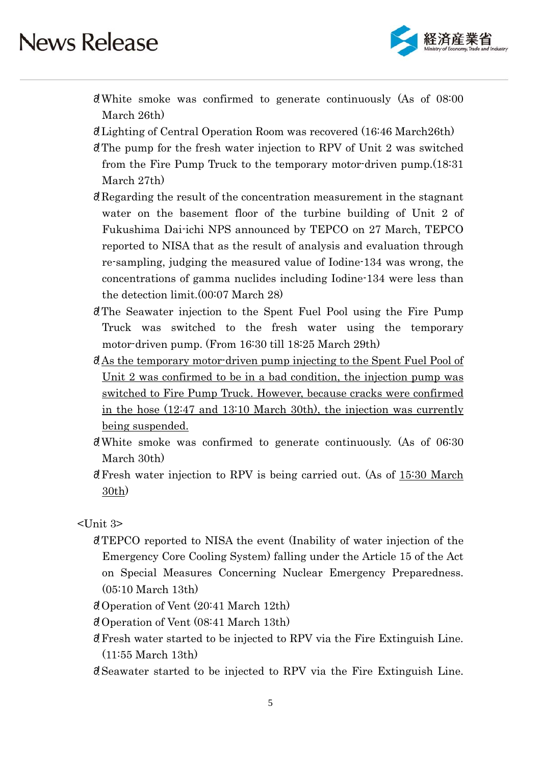

- $\partial$ . White smoke was confirmed to generate continuously (As of 08:00 March 26th)
- 䞉!Lighting of Central Operation Room was recovered (16:46 March26th)
- $\partial$ . The pump for the fresh water injection to RPV of Unit 2 was switched from the Fire Pump Truck to the temporary motor-driven pump.(18:31 March 27th)
- 䞉!Regarding the result of the concentration measurement in the stagnant water on the basement floor of the turbine building of Unit 2 of Fukushima Dai-ichi NPS announced by TEPCO on 27 March, TEPCO reported to NISA that as the result of analysis and evaluation through re-sampling, judging the measured value of Iodine-134 was wrong, the concentrations of gamma nuclides including Iodine-134 were less than the detection limit.(00:07 March 28)
- 䞉!The Seawater injection to the Spent Fuel Pool using the Fire Pump Truck was switched to the fresh water using the temporary motor-driven pump. (From 16:30 till 18:25 March 29th)
- 䞉!As the temporary motor-driven pump injecting to the Spent Fuel Pool of Unit 2 was confirmed to be in a bad condition, the injection pump was switched to Fire Pump Truck. However, because cracks were confirmed in the hose (12:47 and 13:10 March 30th), the injection was currently being suspended.
- $d$ . White smoke was confirmed to generate continuously. (As of 06:30) March 30th)
- $\partial$ . Fresh water injection to RPV is being carried out. (As of 15:30 March 30th)

<Unit 3>

- 䞉!TEPCO reported to NISA the event (Inability of water injection of the Emergency Core Cooling System) falling under the Article 15 of the Act on Special Measures Concerning Nuclear Emergency Preparedness. (05:10 March 13th)
- 䞉!Operation of Vent (20:41 March 12th)
- 䞉!Operation of Vent (08:41 March 13th)
- 䞉!Fresh water started to be injected to RPV via the Fire Extinguish Line. (11:55 March 13th)
- 䞉!Seawater started to be injected to RPV via the Fire Extinguish Line.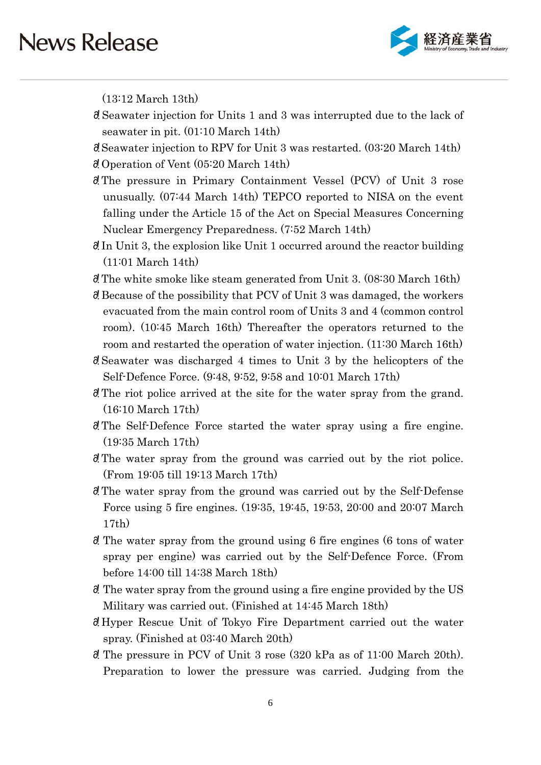

(13:12 March 13th)

- 䞉! Seawater injection for Units 1 and 3 was interrupted due to the lack of seawater in pit. (01:10 March 14th)
- 䞉!Seawater injection to RPV for Unit 3 was restarted. (03:20 March 14th)
- 䞉!Operation of Vent (05:20 March 14th)
- 䞉!The pressure in Primary Containment Vessel (PCV) of Unit 3 rose unusually. (07:44 March 14th) TEPCO reported to NISA on the event falling under the Article 15 of the Act on Special Measures Concerning Nuclear Emergency Preparedness. (7:52 March 14th)
- $\partial$ . In Unit 3, the explosion like Unit 1 occurred around the reactor building (11:01 March 14th)
- $\delta$ ! The white smoke like steam generated from Unit 3. (08:30 March 16th)
- 䞉!Because of the possibility that PCV of Unit 3 was damaged, the workers evacuated from the main control room of Units 3 and 4 (common control room). (10:45 March 16th) Thereafter the operators returned to the room and restarted the operation of water injection. (11:30 March 16th)
- 䞉!Seawater was discharged 4 times to Unit 3 by the helicopters of the Self-Defence Force. (9:48, 9:52, 9:58 and 10:01 March 17th)
- 䞉!The riot police arrived at the site for the water spray from the grand. (16:10 March 17th)
- 䞉!The Self-Defence Force started the water spray using a fire engine. (19:35 March 17th)
- d' The water spray from the ground was carried out by the riot police. (From 19:05 till 19:13 March 17th)
- 䞉!The water spray from the ground was carried out by the Self-Defense Force using 5 fire engines. (19:35, 19:45, 19:53, 20:00 and 20:07 March 17th)
- $\delta$ ! The water spray from the ground using 6 fire engines (6 tons of water spray per engine) was carried out by the Self-Defence Force. (From before 14:00 till 14:38 March 18th)
- 䞉! The water spray from the ground using a fire engine provided by the US Military was carried out. (Finished at 14:45 March 18th)
- 䞉!Hyper Rescue Unit of Tokyo Fire Department carried out the water spray. (Finished at 03:40 March 20th)
- $\delta$ . The pressure in PCV of Unit 3 rose (320 kPa as of 11:00 March 20th). Preparation to lower the pressure was carried. Judging from the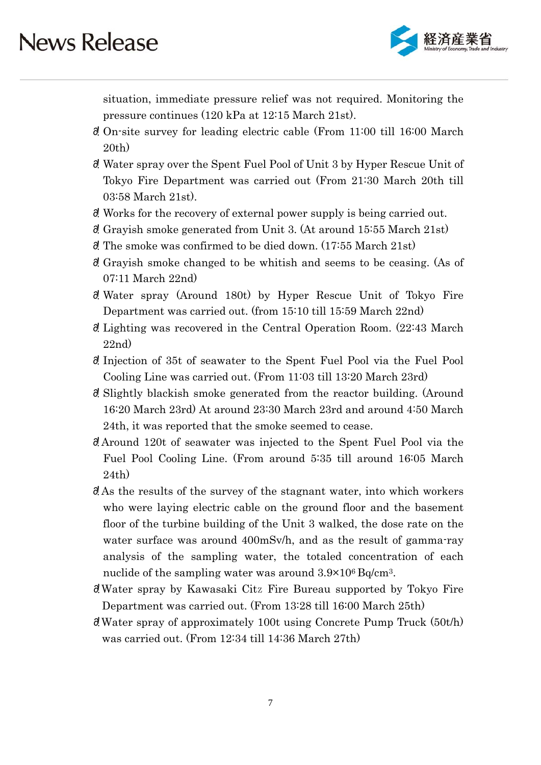

situation, immediate pressure relief was not required. Monitoring the pressure continues (120 kPa at 12:15 March 21st).

- 䞉! On-site survey for leading electric cable (From 11:00 till 16:00 March 20th)
- 䞉! Water spray over the Spent Fuel Pool of Unit 3 by Hyper Rescue Unit of Tokyo Fire Department was carried out (From 21:30 March 20th till 03:58 March 21st).
- 䞉! Works for the recovery of external power supply is being carried out.
- $\delta$ ! Grayish smoke generated from Unit 3. (At around 15:55 March 21st)
- $\delta$ . The smoke was confirmed to be died down. (17:55 March 21st)
- 䞉! Grayish smoke changed to be whitish and seems to be ceasing. (As of 07:11 March 22nd)
- 䞉! Water spray (Around 180t) by Hyper Rescue Unit of Tokyo Fire Department was carried out. (from 15:10 till 15:59 March 22nd)
- 䞉! Lighting was recovered in the Central Operation Room. (22:43 March 22nd)
- 䞉! Injection of 35t of seawater to the Spent Fuel Pool via the Fuel Pool Cooling Line was carried out. (From 11:03 till 13:20 March 23rd)
- 䞉! Slightly blackish smoke generated from the reactor building. (Around 16:20 March 23rd) At around 23:30 March 23rd and around 4:50 March 24th, it was reported that the smoke seemed to cease.
- 䞉!Around 120t of seawater was injected to the Spent Fuel Pool via the Fuel Pool Cooling Line. (From around 5:35 till around 16:05 March 24th)
- $\partial$ . As the results of the survey of the stagnant water, into which workers who were laying electric cable on the ground floor and the basement floor of the turbine building of the Unit 3 walked, the dose rate on the water surface was around 400mSv/h, and as the result of gamma-ray analysis of the sampling water, the totaled concentration of each nuclide of the sampling water was around  $3.9\times10^6$  Bq/cm<sup>3</sup>.
- 䞉!Water spray by Kawasaki Citz Fire Bureau supported by Tokyo Fire Department was carried out. (From 13:28 till 16:00 March 25th)
- $\partial$ . Water spray of approximately 100t using Concrete Pump Truck (50t/h) was carried out. (From 12:34 till 14:36 March 27th)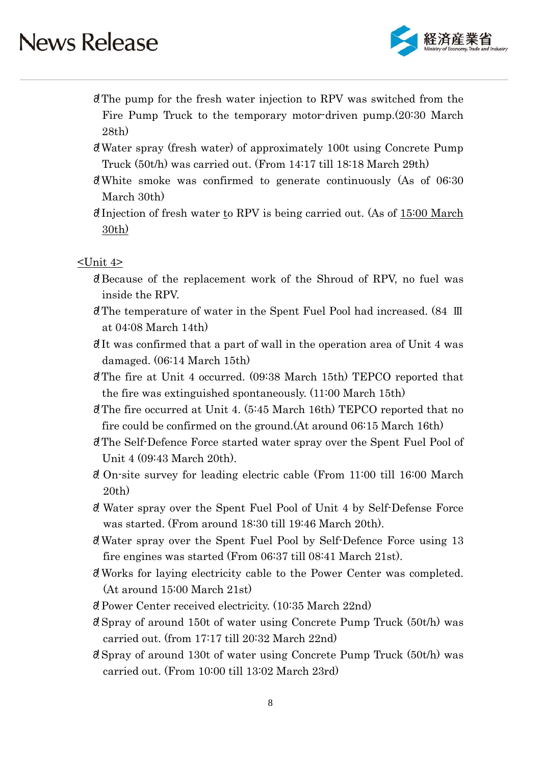

- **d**. The pump for the fresh water injection to RPV was switched from the Fire Pump Truck to the temporary motor-driven pump.(20:30 March 28th)
- 䞉!Water spray (fresh water) of approximately 100t using Concrete Pump Truck (50t/h) was carried out. (From 14:17 till 18:18 March 29th)
- 䞉!White smoke was confirmed to generate continuously (As of 06:30 March 30th)
- 䞉!Injection of fresh water to RPV is being carried out. (As of 15:00 March 30th)

### $\le$ Unit  $4$ >

- 䞉!Because of the replacement work of the Shroud of RPV, no fuel was inside the RPV.
- 䞉!The temperature of water in the Spent Fuel Pool had increased. (84 Ⅲ at 04:08 March 14th)
- $\partial$ . It was confirmed that a part of wall in the operation area of Unit 4 was damaged. (06:14 March 15th)
- **d**. The fire at Unit 4 occurred. (09:38 March 15th) TEPCO reported that the fire was extinguished spontaneously. (11:00 March 15th)
- 䞉!The fire occurred at Unit 4. (5:45 March 16th) TEPCO reported that no fire could be confirmed on the ground.(At around 06:15 March 16th)
- 䞉!The Self-Defence Force started water spray over the Spent Fuel Pool of Unit 4 (09:43 March 20th).
- 䞉! On-site survey for leading electric cable (From 11:00 till 16:00 March 20th)
- 䞉! Water spray over the Spent Fuel Pool of Unit 4 by Self-Defense Force was started. (From around 18:30 till 19:46 March 20th).
- 䞉!Water spray over the Spent Fuel Pool by Self-Defence Force using 13 fire engines was started (From 06:37 till 08:41 March 21st).
- 䞉!Works for laying electricity cable to the Power Center was completed. (At around 15:00 March 21st)
- 䞉!Power Center received electricity. (10:35 March 22nd)
- $\partial$  Spray of around 150t of water using Concrete Pump Truck (50t/h) was carried out. (from 17:17 till 20:32 March 22nd)
- $\partial$  Spray of around 130t of water using Concrete Pump Truck (50t/h) was carried out. (From 10:00 till 13:02 March 23rd)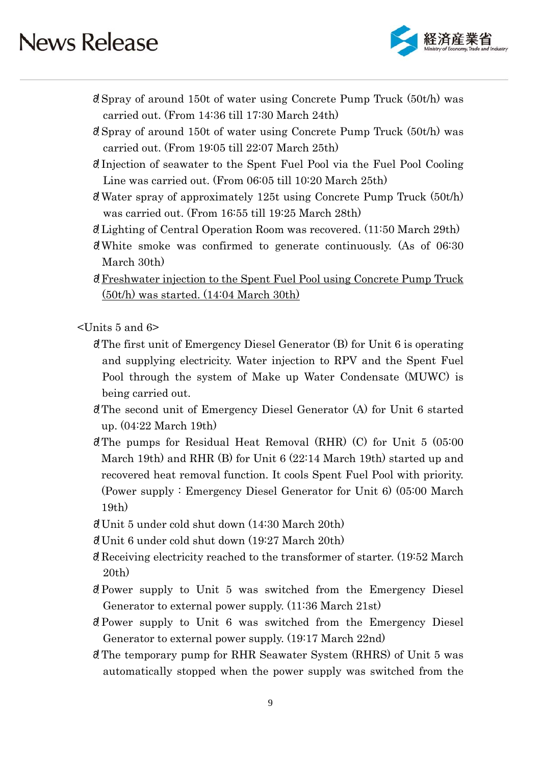

- $\partial$  Spray of around 150t of water using Concrete Pump Truck (50th) was carried out. (From 14:36 till 17:30 March 24th)
- $\delta$ . Spray of around 150t of water using Concrete Pump Truck (50t/h) was carried out. (From 19:05 till 22:07 March 25th)
- 䞉!Injection of seawater to the Spent Fuel Pool via the Fuel Pool Cooling Line was carried out. (From 06:05 till 10:20 March 25th)
- $\partial$ . Water spray of approximately 125t using Concrete Pump Truck (50t/h) was carried out. (From 16:55 till 19:25 March 28th)
- $\delta$ . Lighting of Central Operation Room was recovered. (11:50 March 29th)
- $\delta$ ! White smoke was confirmed to generate continuously. (As of 06:30 March 30th)
- 䞉!Freshwater injection to the Spent Fuel Pool using Concrete Pump Truck (50t/h) was started. (14:04 March 30th)

 $\le$ Units 5 and 6 $\ge$ 

- 䞉!The first unit of Emergency Diesel Generator (B) for Unit 6 is operating and supplying electricity. Water injection to RPV and the Spent Fuel Pool through the system of Make up Water Condensate (MUWC) is being carried out.
- 䞉!The second unit of Emergency Diesel Generator (A) for Unit 6 started up. (04:22 March 19th)
- $\partial$ . The pumps for Residual Heat Removal (RHR) (C) for Unit 5 (05:00 March 19th) and RHR (B) for Unit 6 (22:14 March 19th) started up and recovered heat removal function. It cools Spent Fuel Pool with priority. (Power supply : Emergency Diesel Generator for Unit 6) (05:00 March 19th)
- $\partial$ . Unit 5 under cold shut down  $(14:30 \text{ March } 20 \text{th})$
- $\partial$ . Unit 6 under cold shut down (19:27 March 20th)
- $\partial$ . Receiving electricity reached to the transformer of starter. (19:52 March 20th)
- 䞉!Power supply to Unit 5 was switched from the Emergency Diesel Generator to external power supply. (11:36 March 21st)
- 䞉!Power supply to Unit 6 was switched from the Emergency Diesel Generator to external power supply. (19:17 March 22nd)
- 䞉!The temporary pump for RHR Seawater System (RHRS) of Unit 5 was automatically stopped when the power supply was switched from the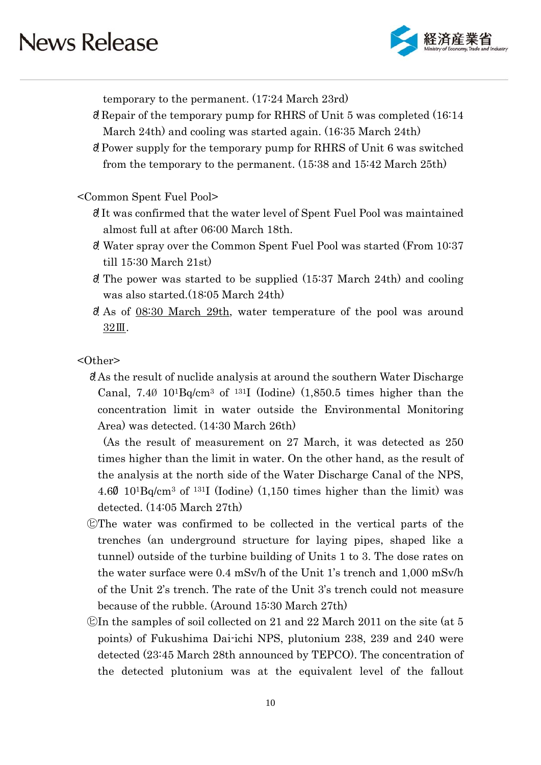

temporary to the permanent. (17:24 March 23rd)

- 䞉!Repair of the temporary pump for RHRS of Unit 5 was completed (16:14 March 24th) and cooling was started again. (16:35 March 24th)
- 䞉!Power supply for the temporary pump for RHRS of Unit 6 was switched from the temporary to the permanent. (15:38 and 15:42 March 25th)

### <Common Spent Fuel Pool>

- 䞉!It was confirmed that the water level of Spent Fuel Pool was maintained almost full at after 06:00 March 18th.
- 䞉! Water spray over the Common Spent Fuel Pool was started (From 10:37 till 15:30 March 21st)
- $\delta$ ! The power was started to be supplied (15:37 March 24th) and cooling was also started.(18:05 March 24th)
- $\delta$ . As of 08:30 March 29th, water temperature of the pool was around 32Ⅲ.

### <Other>

䞉!As the result of nuclide analysis at around the southern Water Discharge Canal,  $7.4\emptyset$  10<sup>1</sup>Bq/cm<sup>3</sup> of <sup>131</sup>I (Iodine) (1,850.5 times higher than the concentration limit in water outside the Environmental Monitoring Area) was detected. (14:30 March 26th)

(As the result of measurement on 27 March, it was detected as 250 times higher than the limit in water. On the other hand, as the result of the analysis at the north side of the Water Discharge Canal of the NPS, 4.6Ø 101Bq/cm3 of 131I (Iodine) (1,150 times higher than the limit) was detected. (14:05 March 27th)

- ㋪The water was confirmed to be collected in the vertical parts of the trenches (an underground structure for laying pipes, shaped like a tunnel) outside of the turbine building of Units 1 to 3. The dose rates on the water surface were 0.4 mSv/h of the Unit 1's trench and 1,000 mSv/h of the Unit 2's trench. The rate of the Unit 3's trench could not measure because of the rubble. (Around 15:30 March 27th)
- $\mathbb{C}$ In the samples of soil collected on 21 and 22 March 2011 on the site (at 5 points) of Fukushima Dai-ichi NPS, plutonium 238, 239 and 240 were detected (23:45 March 28th announced by TEPCO). The concentration of the detected plutonium was at the equivalent level of the fallout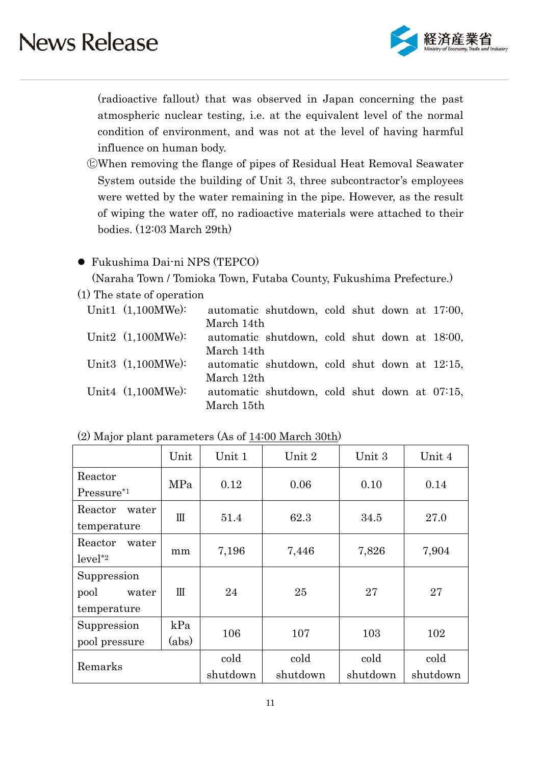

(radioactive fallout) that was observed in Japan concerning the past atmospheric nuclear testing, i.e. at the equivalent level of the normal condition of environment, and was not at the level of having harmful influence on human body.

㋪When removing the flange of pipes of Residual Heat Removal Seawater System outside the building of Unit 3, three subcontractor's employees were wetted by the water remaining in the pipe. However, as the result of wiping the water off, no radioactive materials were attached to their bodies. (12:03 March 29th)

### Fukushima Dai-ni NPS (TEPCO)

(Naraha Town / Tomioka Town, Futaba County, Fukushima Prefecture.)

(1) The state of operation

| Unit1 $(1,100MWe)$ : |            | automatic shutdown, cold shut down at 17:00, |  |  |  |
|----------------------|------------|----------------------------------------------|--|--|--|
|                      | March 14th |                                              |  |  |  |
| Unit2 $(1,100MWe)$ : |            | automatic shutdown, cold shut down at 18:00, |  |  |  |
|                      | March 14th |                                              |  |  |  |
| Unit3 $(1,100MWe)$ : |            | automatic shutdown, cold shut down at 12:15, |  |  |  |
|                      | March 12th |                                              |  |  |  |
| Unit4 $(1,100MWe)$ : |            | automatic shutdown, cold shut down at 07:15, |  |  |  |
|                      | March 15th |                                              |  |  |  |

|                  | Unit         | Unit 1   | $\operatorname{Unit} 2$ | Unit 3   | Unit 4   |
|------------------|--------------|----------|-------------------------|----------|----------|
| Reactor          | MPa          | 0.12     | 0.06                    | 0.10     | 0.14     |
| $Pressure*1$     |              |          |                         |          |          |
| Reactor<br>water | $\mathbf{H}$ | 51.4     | 62.3                    | 34.5     | 27.0     |
| temperature      |              |          |                         |          |          |
| Reactor<br>water | mm           | 7,196    | 7,446                   | 7,826    | 7,904    |
| $level^*2$       |              |          |                         |          |          |
| Suppression      |              |          |                         |          |          |
| pool<br>water    | $\mathbb{I}$ | 24       | 25                      | 27       | 27       |
| temperature      |              |          |                         |          |          |
| Suppression      | kPa          | 106      | 107                     | 103      | 102      |
| pool pressure    | (abs)        |          |                         |          |          |
| Remarks          |              | cold     | cold                    | cold     | cold     |
|                  |              | shutdown | shutdown                | shutdown | shutdown |

|  | (2) Major plant parameters (As of 14:00 March 30th) |  |
|--|-----------------------------------------------------|--|
|--|-----------------------------------------------------|--|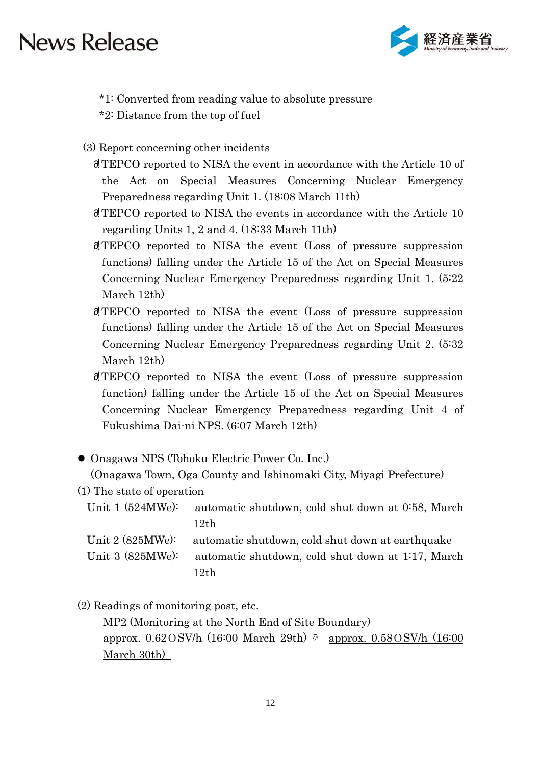

- \*1: Converted from reading value to absolute pressure
- \*2: Distance from the top of fuel
- (3) Report concerning other incidents
	- 䞉!TEPCO reported to NISA the event in accordance with the Article 10 of the Act on Special Measures Concerning Nuclear Emergency Preparedness regarding Unit 1. (18:08 March 11th)
	- 䞉!TEPCO reported to NISA the events in accordance with the Article 10 regarding Units 1, 2 and 4. (18:33 March 11th)
	- 䞉!TEPCO reported to NISA the event (Loss of pressure suppression functions) falling under the Article 15 of the Act on Special Measures Concerning Nuclear Emergency Preparedness regarding Unit 1. (5:22 March 12th)
	- 䞉!TEPCO reported to NISA the event (Loss of pressure suppression functions) falling under the Article 15 of the Act on Special Measures Concerning Nuclear Emergency Preparedness regarding Unit 2. (5:32 March 12th)
	- 䞉!TEPCO reported to NISA the event (Loss of pressure suppression function) falling under the Article 15 of the Act on Special Measures Concerning Nuclear Emergency Preparedness regarding Unit 4 of Fukushima Dai-ni NPS. (6:07 March 12th)
- Onagawa NPS (Tohoku Electric Power Co. Inc.)

(Onagawa Town, Oga County and Ishinomaki City, Miyagi Prefecture)

(1) The state of operation

Unit 1 (524MWe): automatic shutdown, cold shut down at 0.58, March 12th

Unit 2 (825MWe): automatic shutdown, cold shut down at earthquake

Unit 3 (825MWe): automatic shutdown, cold shut down at 1:17, March 12th

(2) Readings of monitoring post, etc.

MP2 (Monitoring at the North End of Site Boundary) approx.  $0.62 \text{ OSV/h}$  (16:00 March 29th)  $\phi$  approx.  $0.58 \text{ OSV/h}$  (16:00 March 30th)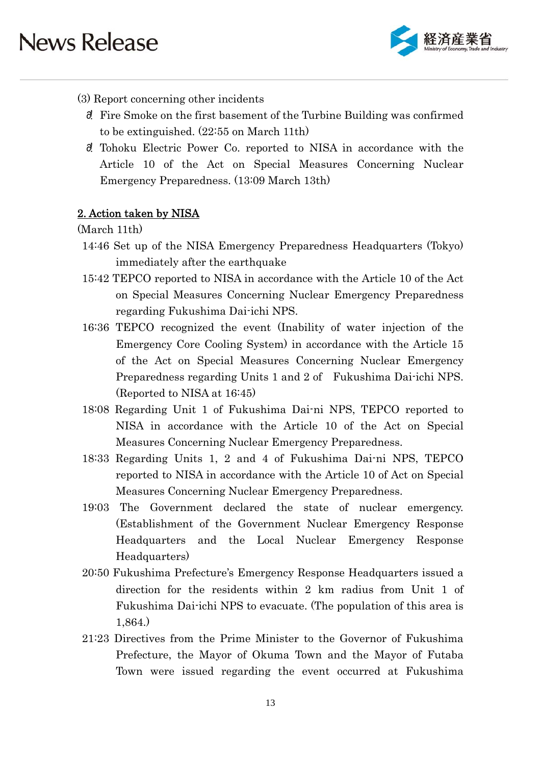

### (3) Report concerning other incidents

- 䞉! Fire Smoke on the first basement of the Turbine Building was confirmed to be extinguished. (22:55 on March 11th)
- 䞉! Tohoku Electric Power Co. reported to NISA in accordance with the Article 10 of the Act on Special Measures Concerning Nuclear Emergency Preparedness. (13:09 March 13th)

### 2. Action taken by NISA

(March 11th)

- 14:46 Set up of the NISA Emergency Preparedness Headquarters (Tokyo) immediately after the earthquake
- 15:42 TEPCO reported to NISA in accordance with the Article 10 of the Act on Special Measures Concerning Nuclear Emergency Preparedness regarding Fukushima Dai-ichi NPS.
- 16:36 TEPCO recognized the event (Inability of water injection of the Emergency Core Cooling System) in accordance with the Article 15 of the Act on Special Measures Concerning Nuclear Emergency Preparedness regarding Units 1 and 2 of Fukushima Dai-ichi NPS. (Reported to NISA at 16:45)
- 18:08 Regarding Unit 1 of Fukushima Dai-ni NPS, TEPCO reported to NISA in accordance with the Article 10 of the Act on Special Measures Concerning Nuclear Emergency Preparedness.
- 18:33 Regarding Units 1, 2 and 4 of Fukushima Dai-ni NPS, TEPCO reported to NISA in accordance with the Article 10 of Act on Special Measures Concerning Nuclear Emergency Preparedness.
- 19:03 The Government declared the state of nuclear emergency. (Establishment of the Government Nuclear Emergency Response Headquarters and the Local Nuclear Emergency Response Headquarters)
- 20:50 Fukushima Prefecture's Emergency Response Headquarters issued a direction for the residents within 2 km radius from Unit 1 of Fukushima Dai-ichi NPS to evacuate. (The population of this area is 1,864.)
- 21:23 Directives from the Prime Minister to the Governor of Fukushima Prefecture, the Mayor of Okuma Town and the Mayor of Futaba Town were issued regarding the event occurred at Fukushima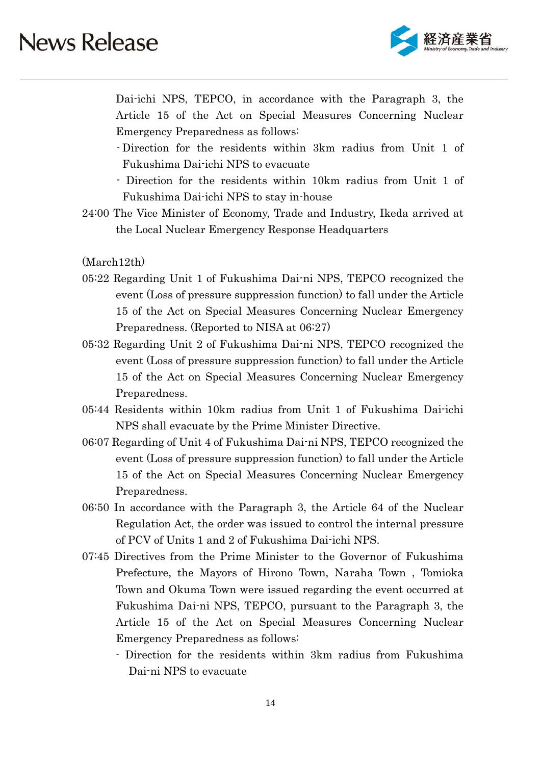

Dai-ichi NPS, TEPCO, in accordance with the Paragraph 3, the Article 15 of the Act on Special Measures Concerning Nuclear Emergency Preparedness as follows:

- Direction for the residents within 3km radius from Unit 1 of Fukushima Dai-ichi NPS to evacuate
- Direction for the residents within 10km radius from Unit 1 of Fukushima Dai-ichi NPS to stay in-house
- 24:00 The Vice Minister of Economy, Trade and Industry, Ikeda arrived at the Local Nuclear Emergency Response Headquarters

(March12th)

- 05:22 Regarding Unit 1 of Fukushima Dai-ni NPS, TEPCO recognized the event (Loss of pressure suppression function) to fall under the Article 15 of the Act on Special Measures Concerning Nuclear Emergency Preparedness. (Reported to NISA at 06:27)
- 05:32 Regarding Unit 2 of Fukushima Dai-ni NPS, TEPCO recognized the event (Loss of pressure suppression function) to fall under the Article 15 of the Act on Special Measures Concerning Nuclear Emergency Preparedness.
- 05:44 Residents within 10km radius from Unit 1 of Fukushima Dai-ichi NPS shall evacuate by the Prime Minister Directive.
- 06:07 Regarding of Unit 4 of Fukushima Dai-ni NPS, TEPCO recognized the event (Loss of pressure suppression function) to fall under the Article 15 of the Act on Special Measures Concerning Nuclear Emergency Preparedness.
- 06:50 In accordance with the Paragraph 3, the Article 64 of the Nuclear Regulation Act, the order was issued to control the internal pressure of PCV of Units 1 and 2 of Fukushima Dai-ichi NPS.
- 07:45 Directives from the Prime Minister to the Governor of Fukushima Prefecture, the Mayors of Hirono Town, Naraha Town , Tomioka Town and Okuma Town were issued regarding the event occurred at Fukushima Dai-ni NPS, TEPCO, pursuant to the Paragraph 3, the Article 15 of the Act on Special Measures Concerning Nuclear Emergency Preparedness as follows:
	- Direction for the residents within 3km radius from Fukushima Dai-ni NPS to evacuate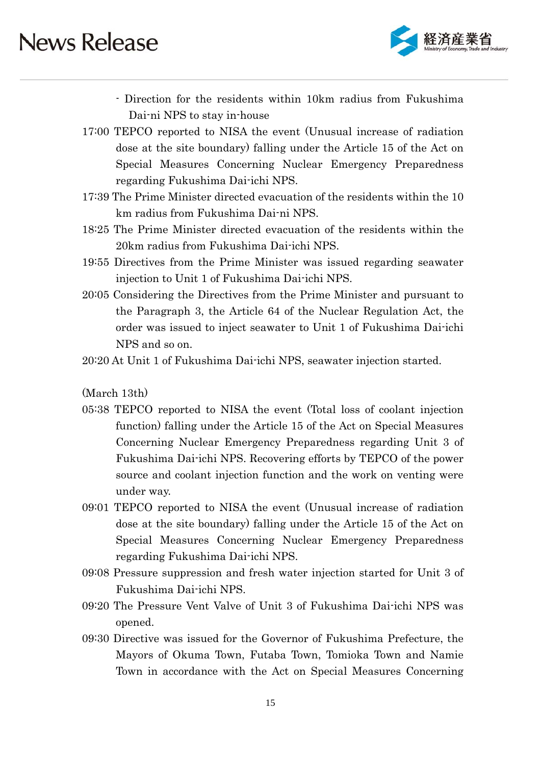

- Direction for the residents within 10km radius from Fukushima Dai-ni NPS to stay in-house
- 17:00 TEPCO reported to NISA the event (Unusual increase of radiation dose at the site boundary) falling under the Article 15 of the Act on Special Measures Concerning Nuclear Emergency Preparedness regarding Fukushima Dai-ichi NPS.
- 17:39 The Prime Minister directed evacuation of the residents within the 10 km radius from Fukushima Dai-ni NPS.
- 18:25 The Prime Minister directed evacuation of the residents within the 20km radius from Fukushima Dai-ichi NPS.
- 19:55 Directives from the Prime Minister was issued regarding seawater injection to Unit 1 of Fukushima Dai-ichi NPS.
- 20:05 Considering the Directives from the Prime Minister and pursuant to the Paragraph 3, the Article 64 of the Nuclear Regulation Act, the order was issued to inject seawater to Unit 1 of Fukushima Dai-ichi NPS and so on.

20:20 At Unit 1 of Fukushima Dai-ichi NPS, seawater injection started.

(March 13th)

- 05:38 TEPCO reported to NISA the event (Total loss of coolant injection function) falling under the Article 15 of the Act on Special Measures Concerning Nuclear Emergency Preparedness regarding Unit 3 of Fukushima Dai-ichi NPS. Recovering efforts by TEPCO of the power source and coolant injection function and the work on venting were under way.
- 09:01 TEPCO reported to NISA the event (Unusual increase of radiation dose at the site boundary) falling under the Article 15 of the Act on Special Measures Concerning Nuclear Emergency Preparedness regarding Fukushima Dai-ichi NPS.
- 09:08 Pressure suppression and fresh water injection started for Unit 3 of Fukushima Dai-ichi NPS.
- 09:20 The Pressure Vent Valve of Unit 3 of Fukushima Dai-ichi NPS was opened.
- 09:30 Directive was issued for the Governor of Fukushima Prefecture, the Mayors of Okuma Town, Futaba Town, Tomioka Town and Namie Town in accordance with the Act on Special Measures Concerning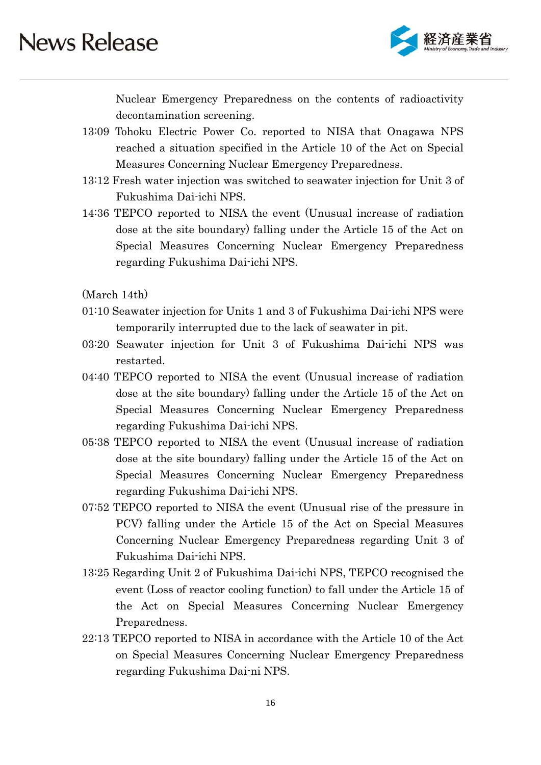

Nuclear Emergency Preparedness on the contents of radioactivity decontamination screening.

- 13:09 Tohoku Electric Power Co. reported to NISA that Onagawa NPS reached a situation specified in the Article 10 of the Act on Special Measures Concerning Nuclear Emergency Preparedness.
- 13:12 Fresh water injection was switched to seawater injection for Unit 3 of Fukushima Dai-ichi NPS.
- 14:36 TEPCO reported to NISA the event (Unusual increase of radiation dose at the site boundary) falling under the Article 15 of the Act on Special Measures Concerning Nuclear Emergency Preparedness regarding Fukushima Dai-ichi NPS.

(March 14th)

- 01:10 Seawater injection for Units 1 and 3 of Fukushima Dai-ichi NPS were temporarily interrupted due to the lack of seawater in pit.
- 03:20 Seawater injection for Unit 3 of Fukushima Dai-ichi NPS was restarted.
- 04:40 TEPCO reported to NISA the event (Unusual increase of radiation dose at the site boundary) falling under the Article 15 of the Act on Special Measures Concerning Nuclear Emergency Preparedness regarding Fukushima Dai-ichi NPS.
- 05:38 TEPCO reported to NISA the event (Unusual increase of radiation dose at the site boundary) falling under the Article 15 of the Act on Special Measures Concerning Nuclear Emergency Preparedness regarding Fukushima Dai-ichi NPS.
- 07:52 TEPCO reported to NISA the event (Unusual rise of the pressure in PCV) falling under the Article 15 of the Act on Special Measures Concerning Nuclear Emergency Preparedness regarding Unit 3 of Fukushima Dai-ichi NPS.
- 13:25 Regarding Unit 2 of Fukushima Dai-ichi NPS, TEPCO recognised the event (Loss of reactor cooling function) to fall under the Article 15 of the Act on Special Measures Concerning Nuclear Emergency Preparedness.
- 22:13 TEPCO reported to NISA in accordance with the Article 10 of the Act on Special Measures Concerning Nuclear Emergency Preparedness regarding Fukushima Dai-ni NPS.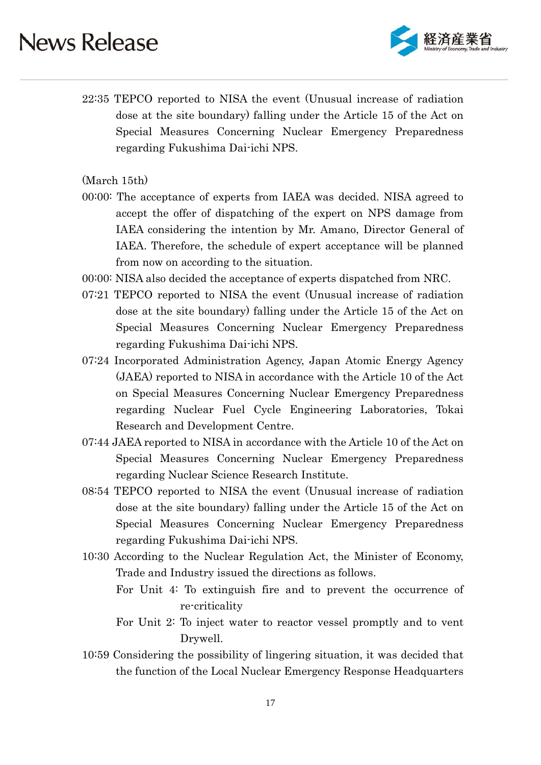

22:35 TEPCO reported to NISA the event (Unusual increase of radiation dose at the site boundary) falling under the Article 15 of the Act on Special Measures Concerning Nuclear Emergency Preparedness regarding Fukushima Dai-ichi NPS.

(March 15th)

- 00:00: The acceptance of experts from IAEA was decided. NISA agreed to accept the offer of dispatching of the expert on NPS damage from IAEA considering the intention by Mr. Amano, Director General of IAEA. Therefore, the schedule of expert acceptance will be planned from now on according to the situation.
- 00:00: NISA also decided the acceptance of experts dispatched from NRC.
- 07:21 TEPCO reported to NISA the event (Unusual increase of radiation dose at the site boundary) falling under the Article 15 of the Act on Special Measures Concerning Nuclear Emergency Preparedness regarding Fukushima Dai-ichi NPS.
- 07:24 Incorporated Administration Agency, Japan Atomic Energy Agency (JAEA) reported to NISA in accordance with the Article 10 of the Act on Special Measures Concerning Nuclear Emergency Preparedness regarding Nuclear Fuel Cycle Engineering Laboratories, Tokai Research and Development Centre.
- 07:44 JAEA reported to NISA in accordance with the Article 10 of the Act on Special Measures Concerning Nuclear Emergency Preparedness regarding Nuclear Science Research Institute.
- 08:54 TEPCO reported to NISA the event (Unusual increase of radiation dose at the site boundary) falling under the Article 15 of the Act on Special Measures Concerning Nuclear Emergency Preparedness regarding Fukushima Dai-ichi NPS.
- 10:30 According to the Nuclear Regulation Act, the Minister of Economy, Trade and Industry issued the directions as follows.
	- For Unit 4: To extinguish fire and to prevent the occurrence of re-criticality
	- For Unit 2: To inject water to reactor vessel promptly and to vent Drywell.
- 10:59 Considering the possibility of lingering situation, it was decided that the function of the Local Nuclear Emergency Response Headquarters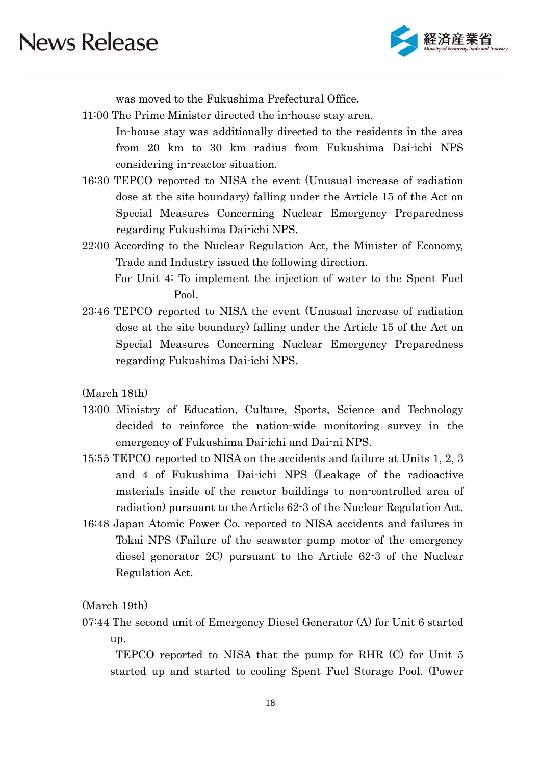

was moved to the Fukushima Prefectural Office.

11:00 The Prime Minister directed the in-house stay area.

 In-house stay was additionally directed to the residents in the area from 20 km to 30 km radius from Fukushima Dai-ichi NPS considering in-reactor situation.

- 16:30 TEPCO reported to NISA the event (Unusual increase of radiation dose at the site boundary) falling under the Article 15 of the Act on Special Measures Concerning Nuclear Emergency Preparedness regarding Fukushima Dai-ichi NPS.
- 22:00 According to the Nuclear Regulation Act, the Minister of Economy, Trade and Industry issued the following direction.
	- For Unit 4: To implement the injection of water to the Spent Fuel Pool.
- 23:46 TEPCO reported to NISA the event (Unusual increase of radiation dose at the site boundary) falling under the Article 15 of the Act on Special Measures Concerning Nuclear Emergency Preparedness regarding Fukushima Dai-ichi NPS.

(March 18th)

- 13:00 Ministry of Education, Culture, Sports, Science and Technology decided to reinforce the nation-wide monitoring survey in the emergency of Fukushima Dai-ichi and Dai-ni NPS.
- 15:55 TEPCO reported to NISA on the accidents and failure at Units 1, 2, 3 and 4 of Fukushima Dai-ichi NPS (Leakage of the radioactive materials inside of the reactor buildings to non-controlled area of radiation) pursuant to the Article 62-3 of the Nuclear Regulation Act.
- 16:48 Japan Atomic Power Co. reported to NISA accidents and failures in Tokai NPS (Failure of the seawater pump motor of the emergency diesel generator 2C) pursuant to the Article 62-3 of the Nuclear Regulation Act.

(March 19th)

07:44 The second unit of Emergency Diesel Generator (A) for Unit 6 started up.

 TEPCO reported to NISA that the pump for RHR (C) for Unit 5 started up and started to cooling Spent Fuel Storage Pool. (Power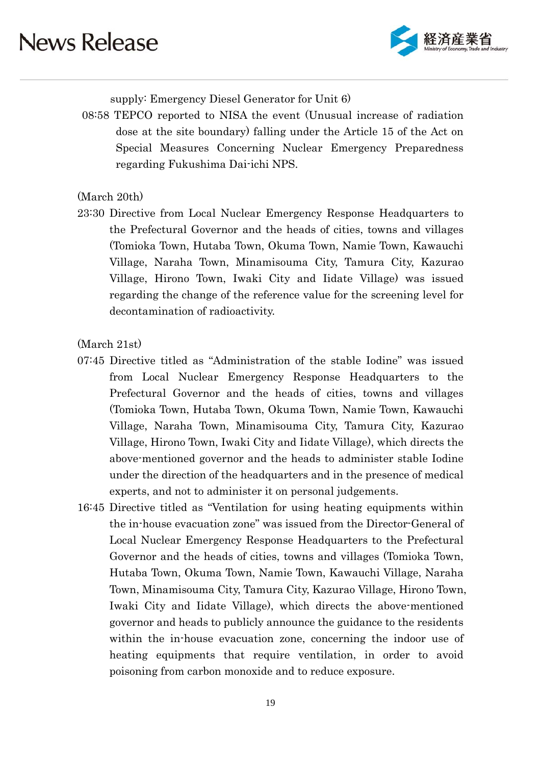

supply: Emergency Diesel Generator for Unit 6)

08:58 TEPCO reported to NISA the event (Unusual increase of radiation dose at the site boundary) falling under the Article 15 of the Act on Special Measures Concerning Nuclear Emergency Preparedness regarding Fukushima Dai-ichi NPS.

#### (March 20th)

23:30 Directive from Local Nuclear Emergency Response Headquarters to the Prefectural Governor and the heads of cities, towns and villages (Tomioka Town, Hutaba Town, Okuma Town, Namie Town, Kawauchi Village, Naraha Town, Minamisouma City, Tamura City, Kazurao Village, Hirono Town, Iwaki City and Iidate Village) was issued regarding the change of the reference value for the screening level for decontamination of radioactivity.

#### (March 21st)

- 07:45 Directive titled as "Administration of the stable Iodine" was issued from Local Nuclear Emergency Response Headquarters to the Prefectural Governor and the heads of cities, towns and villages (Tomioka Town, Hutaba Town, Okuma Town, Namie Town, Kawauchi Village, Naraha Town, Minamisouma City, Tamura City, Kazurao Village, Hirono Town, Iwaki City and Iidate Village), which directs the above-mentioned governor and the heads to administer stable Iodine under the direction of the headquarters and in the presence of medical experts, and not to administer it on personal judgements.
- 16:45 Directive titled as "Ventilation for using heating equipments within the in-house evacuation zone" was issued from the Director-General of Local Nuclear Emergency Response Headquarters to the Prefectural Governor and the heads of cities, towns and villages (Tomioka Town, Hutaba Town, Okuma Town, Namie Town, Kawauchi Village, Naraha Town, Minamisouma City, Tamura City, Kazurao Village, Hirono Town, Iwaki City and Iidate Village), which directs the above-mentioned governor and heads to publicly announce the guidance to the residents within the in-house evacuation zone, concerning the indoor use of heating equipments that require ventilation, in order to avoid poisoning from carbon monoxide and to reduce exposure.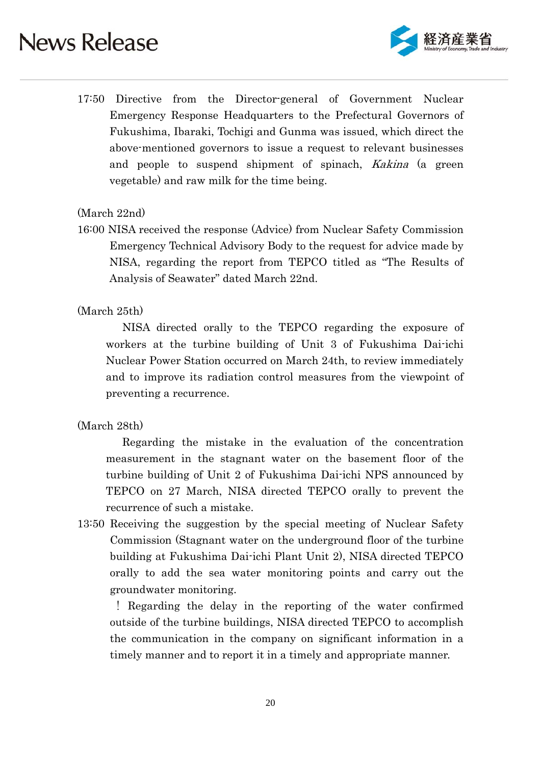

17:50 Directive from the Director-general of Government Nuclear Emergency Response Headquarters to the Prefectural Governors of Fukushima, Ibaraki, Tochigi and Gunma was issued, which direct the above-mentioned governors to issue a request to relevant businesses and people to suspend shipment of spinach, Kakina (a green vegetable) and raw milk for the time being.

### (March 22nd)

16:00 NISA received the response (Advice) from Nuclear Safety Commission Emergency Technical Advisory Body to the request for advice made by NISA, regarding the report from TEPCO titled as "The Results of Analysis of Seawater" dated March 22nd.

### (March 25th)

NISA directed orally to the TEPCO regarding the exposure of workers at the turbine building of Unit 3 of Fukushima Dai-ichi Nuclear Power Station occurred on March 24th, to review immediately and to improve its radiation control measures from the viewpoint of preventing a recurrence.

### (March 28th)

 Regarding the mistake in the evaluation of the concentration measurement in the stagnant water on the basement floor of the turbine building of Unit 2 of Fukushima Dai-ichi NPS announced by TEPCO on 27 March, NISA directed TEPCO orally to prevent the recurrence of such a mistake.

13:50 Receiving the suggestion by the special meeting of Nuclear Safety Commission (Stagnant water on the underground floor of the turbine building at Fukushima Dai-ichi Plant Unit 2), NISA directed TEPCO orally to add the sea water monitoring points and carry out the groundwater monitoring.

 ! Regarding the delay in the reporting of the water confirmed outside of the turbine buildings, NISA directed TEPCO to accomplish the communication in the company on significant information in a timely manner and to report it in a timely and appropriate manner.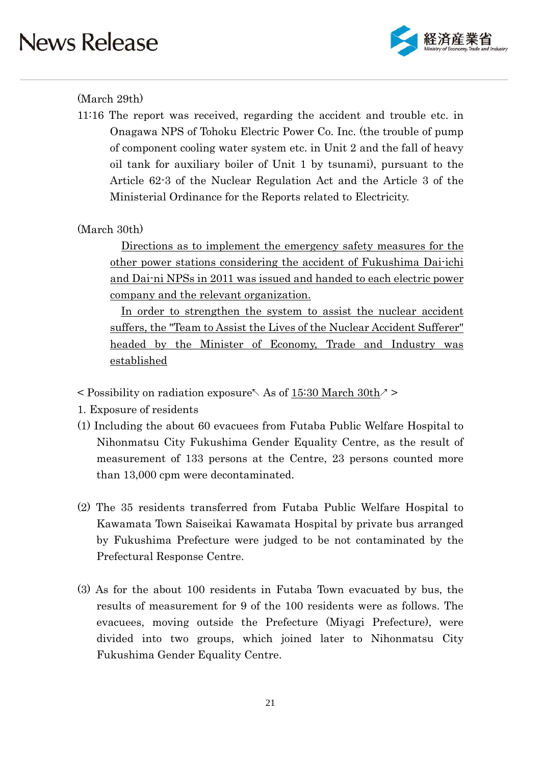

### (March 29th)

11:16 The report was received, regarding the accident and trouble etc. in Onagawa NPS of Tohoku Electric Power Co. Inc. (the trouble of pump of component cooling water system etc. in Unit 2 and the fall of heavy oil tank for auxiliary boiler of Unit 1 by tsunami), pursuant to the Article 62-3 of the Nuclear Regulation Act and the Article 3 of the Ministerial Ordinance for the Reports related to Electricity.

### (March 30th)

Directions as to implement the emergency safety measures for the other power stations considering the accident of Fukushima Dai-ichi and Dai-ni NPSs in 2011 was issued and handed to each electric power company and the relevant organization.

In order to strengthen the system to assist the nuclear accident suffers, the "Team to Assist the Lives of the Nuclear Accident Sufferer" headed by the Minister of Economy, Trade and Industry was established

 $\leq$  Possibility on radiation exposure  $\land$  As of 15:30 March 30th $\geq$ 

1. Exposure of residents

- (1) Including the about 60 evacuees from Futaba Public Welfare Hospital to Nihonmatsu City Fukushima Gender Equality Centre, as the result of measurement of 133 persons at the Centre, 23 persons counted more than 13,000 cpm were decontaminated.
- (2) The 35 residents transferred from Futaba Public Welfare Hospital to Kawamata Town Saiseikai Kawamata Hospital by private bus arranged by Fukushima Prefecture were judged to be not contaminated by the Prefectural Response Centre.
- (3) As for the about 100 residents in Futaba Town evacuated by bus, the results of measurement for 9 of the 100 residents were as follows. The evacuees, moving outside the Prefecture (Miyagi Prefecture), were divided into two groups, which joined later to Nihonmatsu City Fukushima Gender Equality Centre.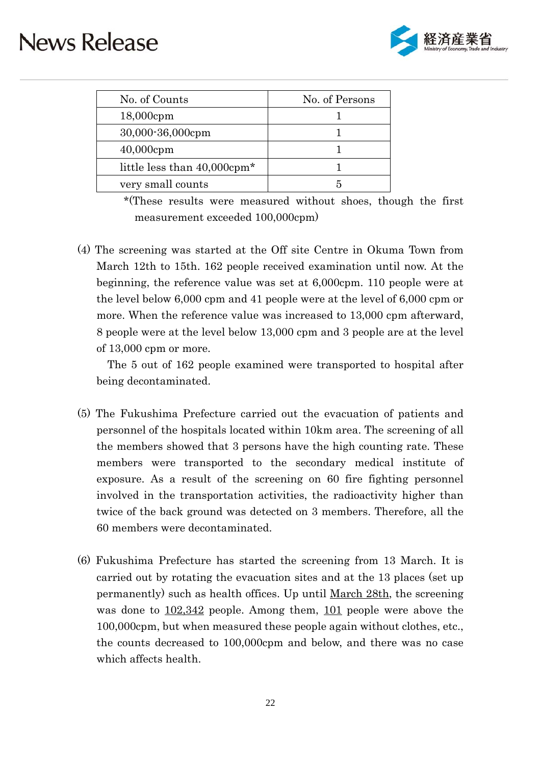

| No. of Counts                           | No. of Persons |
|-----------------------------------------|----------------|
| $18,000$ cpm                            |                |
| 30,000-36,000cpm                        |                |
| $40,000$ cpm                            |                |
| little less than 40,000cpm <sup>*</sup> |                |
| very small counts                       |                |

 \*(These results were measured without shoes, though the first measurement exceeded 100,000cpm)

(4) The screening was started at the Off site Centre in Okuma Town from March 12th to 15th. 162 people received examination until now. At the beginning, the reference value was set at 6,000cpm. 110 people were at the level below 6,000 cpm and 41 people were at the level of 6,000 cpm or more. When the reference value was increased to 13,000 cpm afterward, 8 people were at the level below 13,000 cpm and 3 people are at the level of 13,000 cpm or more.

The 5 out of 162 people examined were transported to hospital after being decontaminated.

- (5) The Fukushima Prefecture carried out the evacuation of patients and personnel of the hospitals located within 10km area. The screening of all the members showed that 3 persons have the high counting rate. These members were transported to the secondary medical institute of exposure. As a result of the screening on 60 fire fighting personnel involved in the transportation activities, the radioactivity higher than twice of the back ground was detected on 3 members. Therefore, all the 60 members were decontaminated.
- (6) Fukushima Prefecture has started the screening from 13 March. It is carried out by rotating the evacuation sites and at the 13 places (set up permanently) such as health offices. Up until March 28th, the screening was done to  $102,342$  people. Among them,  $101$  people were above the 100,000cpm, but when measured these people again without clothes, etc., the counts decreased to 100,000cpm and below, and there was no case which affects health.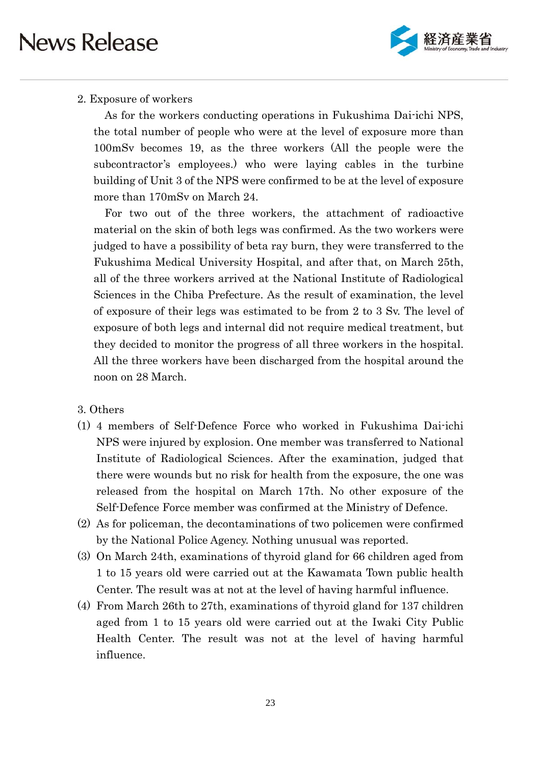

### 2. Exposure of workers

As for the workers conducting operations in Fukushima Dai-ichi NPS, the total number of people who were at the level of exposure more than 100mSv becomes 19, as the three workers (All the people were the subcontractor's employees.) who were laying cables in the turbine building of Unit 3 of the NPS were confirmed to be at the level of exposure more than 170mSv on March 24.

For two out of the three workers, the attachment of radioactive material on the skin of both legs was confirmed. As the two workers were judged to have a possibility of beta ray burn, they were transferred to the Fukushima Medical University Hospital, and after that, on March 25th, all of the three workers arrived at the National Institute of Radiological Sciences in the Chiba Prefecture. As the result of examination, the level of exposure of their legs was estimated to be from 2 to 3 Sv. The level of exposure of both legs and internal did not require medical treatment, but they decided to monitor the progress of all three workers in the hospital. All the three workers have been discharged from the hospital around the noon on 28 March.

### 3. Others

- (1) 4 members of Self-Defence Force who worked in Fukushima Dai-ichi NPS were injured by explosion. One member was transferred to National Institute of Radiological Sciences. After the examination, judged that there were wounds but no risk for health from the exposure, the one was released from the hospital on March 17th. No other exposure of the Self-Defence Force member was confirmed at the Ministry of Defence.
- (2) As for policeman, the decontaminations of two policemen were confirmed by the National Police Agency. Nothing unusual was reported.
- (3) On March 24th, examinations of thyroid gland for 66 children aged from 1 to 15 years old were carried out at the Kawamata Town public health Center. The result was at not at the level of having harmful influence.
- (4) From March 26th to 27th, examinations of thyroid gland for 137 children aged from 1 to 15 years old were carried out at the Iwaki City Public Health Center. The result was not at the level of having harmful influence.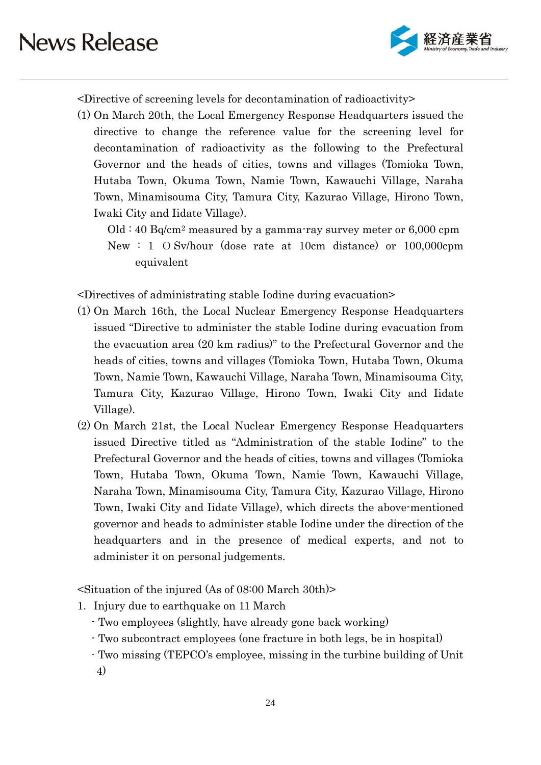

<Directive of screening levels for decontamination of radioactivity>

(1) On March 20th, the Local Emergency Response Headquarters issued the directive to change the reference value for the screening level for decontamination of radioactivity as the following to the Prefectural Governor and the heads of cities, towns and villages (Tomioka Town, Hutaba Town, Okuma Town, Namie Town, Kawauchi Village, Naraha Town, Minamisouma City, Tamura City, Kazurao Village, Hirono Town, Iwaki City and Iidate Village).

 $Old: 40 Bq/cm<sup>2</sup> measured by a gamma-ray survey meter or 6,000 rpm$ New : 1 O Sv/hour (dose rate at 10cm distance) or 100,000cpm equivalent

<Directives of administrating stable Iodine during evacuation>

- (1) On March 16th, the Local Nuclear Emergency Response Headquarters issued "Directive to administer the stable Iodine during evacuation from the evacuation area (20 km radius)" to the Prefectural Governor and the heads of cities, towns and villages (Tomioka Town, Hutaba Town, Okuma Town, Namie Town, Kawauchi Village, Naraha Town, Minamisouma City, Tamura City, Kazurao Village, Hirono Town, Iwaki City and Iidate Village).
- (2) On March 21st, the Local Nuclear Emergency Response Headquarters issued Directive titled as "Administration of the stable Iodine" to the Prefectural Governor and the heads of cities, towns and villages (Tomioka Town, Hutaba Town, Okuma Town, Namie Town, Kawauchi Village, Naraha Town, Minamisouma City, Tamura City, Kazurao Village, Hirono Town, Iwaki City and Iidate Village), which directs the above-mentioned governor and heads to administer stable Iodine under the direction of the headquarters and in the presence of medical experts, and not to administer it on personal judgements.

<Situation of the injured (As of 08:00 March 30th)>

- 1. Injury due to earthquake on 11 March
	- Two employees (slightly, have already gone back working)
	- Two subcontract employees (one fracture in both legs, be in hospital)
	- Two missing (TEPCO's employee, missing in the turbine building of Unit
	- 4)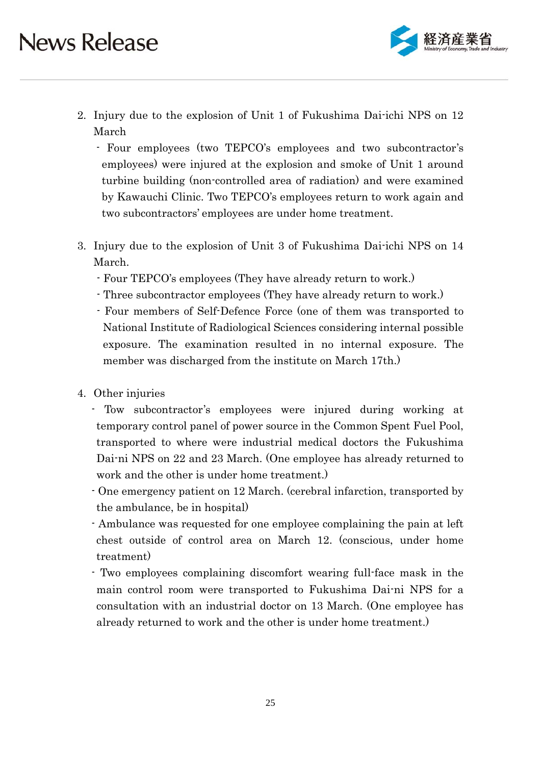

- 2. Injury due to the explosion of Unit 1 of Fukushima Dai-ichi NPS on 12 March
	- Four employees (two TEPCO's employees and two subcontractor's employees) were injured at the explosion and smoke of Unit 1 around turbine building (non-controlled area of radiation) and were examined by Kawauchi Clinic. Two TEPCO's employees return to work again and two subcontractors' employees are under home treatment.
- 3. Injury due to the explosion of Unit 3 of Fukushima Dai-ichi NPS on 14 March.
	- Four TEPCO's employees (They have already return to work.)
	- Three subcontractor employees (They have already return to work.)
	- Four members of Self-Defence Force (one of them was transported to National Institute of Radiological Sciences considering internal possible exposure. The examination resulted in no internal exposure. The member was discharged from the institute on March 17th.)
- 4. Other injuries
	- Tow subcontractor's employees were injured during working at temporary control panel of power source in the Common Spent Fuel Pool, transported to where were industrial medical doctors the Fukushima Dai-ni NPS on 22 and 23 March. (One employee has already returned to work and the other is under home treatment.)
	- One emergency patient on 12 March. (cerebral infarction, transported by the ambulance, be in hospital)
	- Ambulance was requested for one employee complaining the pain at left chest outside of control area on March 12. (conscious, under home treatment)
	- Two employees complaining discomfort wearing full-face mask in the main control room were transported to Fukushima Dai-ni NPS for a consultation with an industrial doctor on 13 March. (One employee has already returned to work and the other is under home treatment.)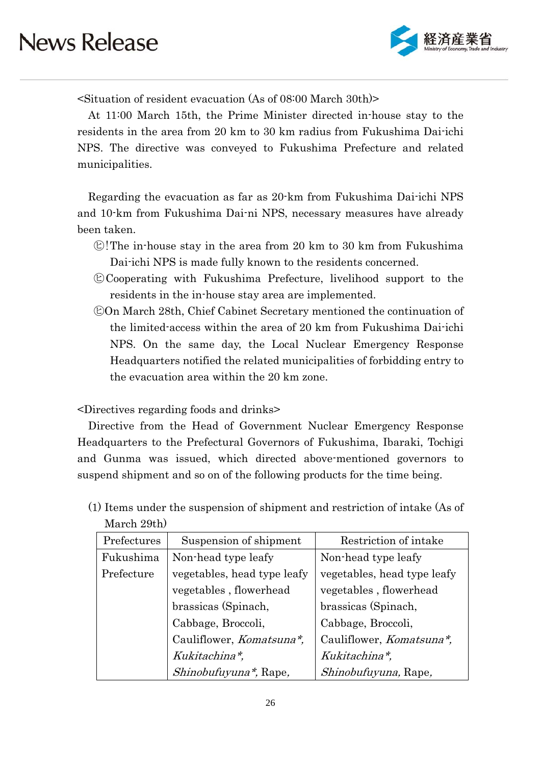

<Situation of resident evacuation (As of 08:00 March 30th)>

At 11:00 March 15th, the Prime Minister directed in-house stay to the residents in the area from 20 km to 30 km radius from Fukushima Dai-ichi NPS. The directive was conveyed to Fukushima Prefecture and related municipalities.

Regarding the evacuation as far as 20-km from Fukushima Dai-ichi NPS and 10-km from Fukushima Dai-ni NPS, necessary measures have already been taken.

- $\mathbb{C}$ ! The in-house stay in the area from 20 km to 30 km from Fukushima Dai-ichi NPS is made fully known to the residents concerned.
- ㋪Cooperating with Fukushima Prefecture, livelihood support to the residents in the in-house stay area are implemented.
- ㋪On March 28th, Chief Cabinet Secretary mentioned the continuation of the limited-access within the area of 20 km from Fukushima Dai-ichi NPS. On the same day, the Local Nuclear Emergency Response Headquarters notified the related municipalities of forbidding entry to the evacuation area within the 20 km zone.

<Directives regarding foods and drinks>

Directive from the Head of Government Nuclear Emergency Response Headquarters to the Prefectural Governors of Fukushima, Ibaraki, Tochigi and Gunma was issued, which directed above-mentioned governors to suspend shipment and so on of the following products for the time being.

(1) Items under the suspension of shipment and restriction of intake (As of March 29th)

| Prefectures | Suspension of shipment      | Restriction of intake            |
|-------------|-----------------------------|----------------------------------|
| Fukushima   | Non-head type leafy         | Non-head type leafy              |
| Prefecture  | vegetables, head type leafy | vegetables, head type leafy      |
|             | vegetables, flowerhead      | vegetables, flowerhead           |
|             | brassicas (Spinach,         | brassicas (Spinach,              |
|             | Cabbage, Broccoli,          | Cabbage, Broccoli,               |
|             | Cauliflower, Komatsuna*,    | Cauliflower, <i>Komatsuna*</i> , |
|             | Kukitachina*,               | Kukitachina*,                    |
|             | Shinobufuyuna*, Rape,       | Shinobufuyuna, Rape,             |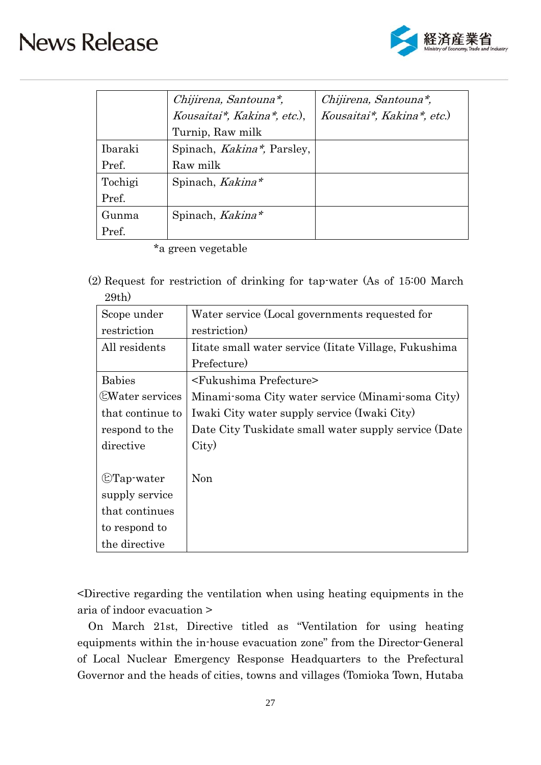

|         | Chijirena, Santouna*,              | Chijirena, Santouna*,      |
|---------|------------------------------------|----------------------------|
|         | Kousaitai*, Kakina*, etc.),        | Kousaitai*, Kakina*, etc.) |
|         | Turnip, Raw milk                   |                            |
| Ibaraki | Spinach, <i>Kakina*</i> , Parsley, |                            |
| Pref.   | Raw milk                           |                            |
| Tochigi | Spinach, Kakina*                   |                            |
| Pref.   |                                    |                            |
| Gunma   | Spinach, Kakina*                   |                            |
| Pref.   |                                    |                            |

\*a green vegetable

(2) Request for restriction of drinking for tap-water (As of 15:00 March 29th)

| Scope under            | Water service (Local governments requested for       |
|------------------------|------------------------------------------------------|
| restriction            | restriction)                                         |
| All residents          | Itate small water service (Itate Village, Fukushima) |
|                        | Prefecture)                                          |
| <b>Babies</b>          | <fukushima prefecture=""></fukushima>                |
| <b>EWater services</b> | Minami-soma City water service (Minami-soma City)    |
| that continue to       | Iwaki City water supply service (Iwaki City)         |
| respond to the         | Date City Tuskidate small water supply service (Date |
| directive              | City)                                                |
|                        |                                                      |
| $\mathbb{C}$ Tap-water | Non                                                  |
| supply service         |                                                      |
| that continues         |                                                      |
| to respond to          |                                                      |
| the directive          |                                                      |

<Directive regarding the ventilation when using heating equipments in the aria of indoor evacuation >

On March 21st, Directive titled as "Ventilation for using heating equipments within the in-house evacuation zone" from the Director-General of Local Nuclear Emergency Response Headquarters to the Prefectural Governor and the heads of cities, towns and villages (Tomioka Town, Hutaba